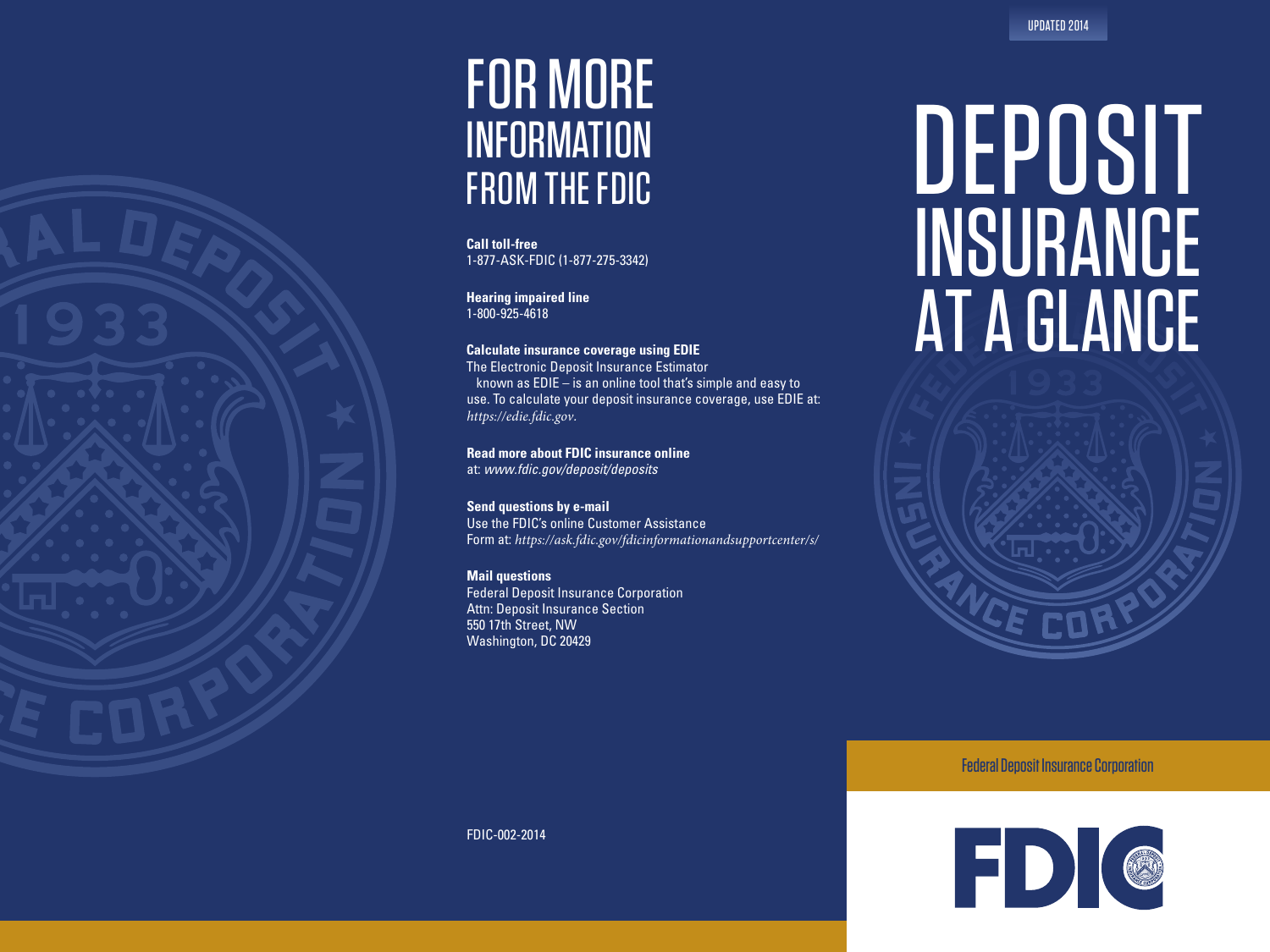## FOR MORE **INFORMATION** FROM THE FDIC

**Call toll-free**  1-877-ASK-FDIC (1-877-275-3342)

**Hearing impaired line**  1-800-925-4618

#### **Calculate insurance coverage using EDIE**

The Electronic Deposit Insurance Estimator known as EDIE – is an online tool that's simple and easy to use. To calculate your deposit insurance coverage, use EDIE at: *https://edie.fdic.gov.*

**Read more about FDIC insurance online**  at: *www.fdic.gov/deposit/deposits*

**Send questions by e-mail**  Use the FDIC's online Customer Assistance Form at: *https://ask.fdic.gov/fdicinformationandsupportcenter/s/*

**Mail questions**  Federal Deposit Insurance Corporation Attn: Deposit Insurance Section 550 17th Street, NW Washington, DC 20429

# DEPOSIT **INSURANCE** AT A GLANCE



Federal Deposit Insurance Corporation



FDIC-002-2014